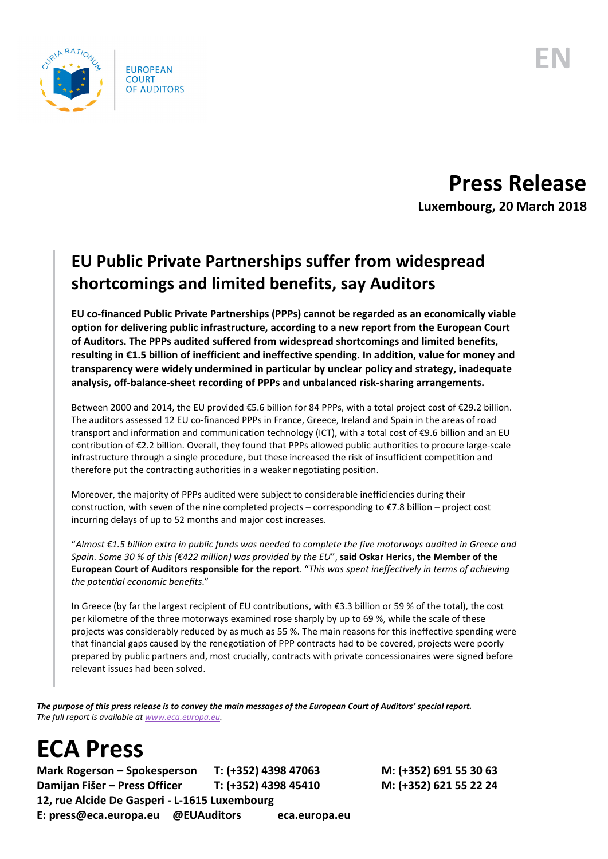

**Press Release Luxembourg, 20 March 2018**

## **EU Public Private Partnerships suffer from widespread shortcomings and limited benefits, say Auditors**

**EU co-financed Public Private Partnerships (PPPs) cannot be regarded as an economically viable option for delivering public infrastructure, according to a new report from the European Court of Auditors. The PPPs audited suffered from widespread shortcomings and limited benefits, resulting in €1.5 billion of inefficient and ineffective spending. In addition, value for money and transparency were widely undermined in particular by unclear policy and strategy, inadequate analysis, off-balance-sheet recording of PPPs and unbalanced risk-sharing arrangements.**

Between 2000 and 2014, the EU provided €5.6 billion for 84 PPPs, with a total project cost of €29.2 billion. The auditors assessed 12 EU co-financed PPPs in France, Greece, Ireland and Spain in the areas of road transport and information and communication technology (ICT), with a total cost of €9.6 billion and an EU contribution of €2.2 billion. Overall, they found that PPPs allowed public authorities to procure large-scale infrastructure through a single procedure, but these increased the risk of insufficient competition and therefore put the contracting authorities in a weaker negotiating position.

Moreover, the majority of PPPs audited were subject to considerable inefficiencies during their construction, with seven of the nine completed projects – corresponding to €7.8 billion – project cost incurring delays of up to 52 months and major cost increases.

"*Almost €1.5 billion extra in public funds was needed to complete the five motorways audited in Greece and Spain. Some 30 % of this (€422 million) was provided by the EU*", **said Oskar Herics, the Member of the European Court of Auditors responsible for the report**. "*This was spent ineffectively in terms of achieving the potential economic benefits*."

In Greece (by far the largest recipient of EU contributions, with €3.3 billion or 59 % of the total), the cost per kilometre of the three motorways examined rose sharply by up to 69 %, while the scale of these projects was considerably reduced by as much as 55 %. The main reasons for this ineffective spending were that financial gaps caused by the renegotiation of PPP contracts had to be covered, projects were poorly prepared by public partners and, most crucially, contracts with private concessionaires were signed before relevant issues had been solved.

*The purpose of this press release is to convey the main messages of the European Court of Auditors' special report. The full report is available a[t www.eca.europa.eu.](http://www.eca.europa.eu/)*

## **ECA Press**

**Mark Rogerson – Spokesperson T: (+352) 4398 47063 M: (+352) 691 55 30 63 Damijan Fišer – Press Officer T: (+352) 4398 45410 M: (+352) 621 55 22 24 12, rue Alcide De Gasperi - L-1615 Luxembourg E: press@eca.europa.eu @EUAuditors eca.europa.eu**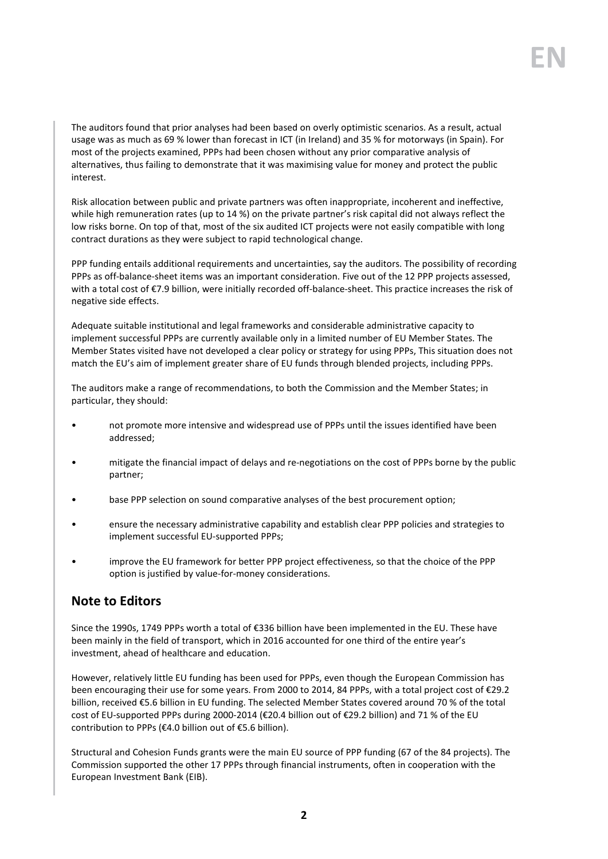The auditors found that prior analyses had been based on overly optimistic scenarios. As a result, actual usage was as much as 69 % lower than forecast in ICT (in Ireland) and 35 % for motorways (in Spain). For most of the projects examined, PPPs had been chosen without any prior comparative analysis of alternatives, thus failing to demonstrate that it was maximising value for money and protect the public interest.

Risk allocation between public and private partners was often inappropriate, incoherent and ineffective, while high remuneration rates (up to 14 %) on the private partner's risk capital did not always reflect the low risks borne. On top of that, most of the six audited ICT projects were not easily compatible with long contract durations as they were subject to rapid technological change.

PPP funding entails additional requirements and uncertainties, say the auditors. The possibility of recording PPPs as off-balance-sheet items was an important consideration. Five out of the 12 PPP projects assessed, with a total cost of €7.9 billion, were initially recorded off-balance-sheet. This practice increases the risk of negative side effects.

Adequate suitable institutional and legal frameworks and considerable administrative capacity to implement successful PPPs are currently available only in a limited number of EU Member States. The Member States visited have not developed a clear policy or strategy for using PPPs, This situation does not match the EU's aim of implement greater share of EU funds through blended projects, including PPPs.

The auditors make a range of recommendations, to both the Commission and the Member States; in particular, they should:

- not promote more intensive and widespread use of PPPs until the issues identified have been addressed;
- mitigate the financial impact of delays and re-negotiations on the cost of PPPs borne by the public partner;
- base PPP selection on sound comparative analyses of the best procurement option;
- ensure the necessary administrative capability and establish clear PPP policies and strategies to implement successful EU-supported PPPs;
- improve the EU framework for better PPP project effectiveness, so that the choice of the PPP option is justified by value-for-money considerations.

## **Note to Editors**

Since the 1990s, 1749 PPPs worth a total of €336 billion have been implemented in the EU. These have been mainly in the field of transport, which in 2016 accounted for one third of the entire year's investment, ahead of healthcare and education.

However, relatively little EU funding has been used for PPPs, even though the European Commission has been encouraging their use for some years. From 2000 to 2014, 84 PPPs, with a total project cost of €29.2 billion, received €5.6 billion in EU funding. The selected Member States covered around 70 % of the total cost of EU-supported PPPs during 2000-2014 (€20.4 billion out of €29.2 billion) and 71 % of the EU contribution to PPPs (€4.0 billion out of €5.6 billion).

Structural and Cohesion Funds grants were the main EU source of PPP funding (67 of the 84 projects). The Commission supported the other 17 PPPs through financial instruments, often in cooperation with the European Investment Bank (EIB).